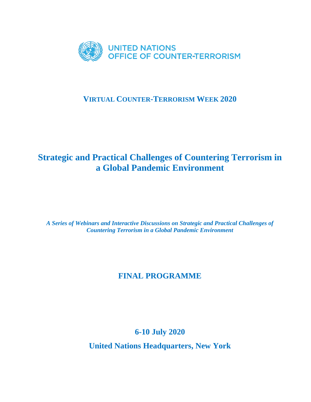

## **VIRTUAL COUNTER-TERRORISM WEEK 2020**

## **Strategic and Practical Challenges of Countering Terrorism in a Global Pandemic Environment**

*A Series of Webinars and Interactive Discussions on Strategic and Practical Challenges of Countering Terrorism in a Global Pandemic Environment*

## **FINAL PROGRAMME**

## **6-10 July 2020**

**United Nations Headquarters, New York**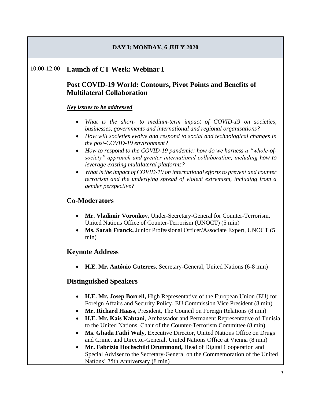| DAY I: MONDAY, 6 JULY 2020 |                                                                                                                                                                                                                                                                                                                                                                                                                                                                                                                                                                                                                                                                                                                                                                                       |
|----------------------------|---------------------------------------------------------------------------------------------------------------------------------------------------------------------------------------------------------------------------------------------------------------------------------------------------------------------------------------------------------------------------------------------------------------------------------------------------------------------------------------------------------------------------------------------------------------------------------------------------------------------------------------------------------------------------------------------------------------------------------------------------------------------------------------|
| 10:00-12:00                | <b>Launch of CT Week: Webinar I</b>                                                                                                                                                                                                                                                                                                                                                                                                                                                                                                                                                                                                                                                                                                                                                   |
|                            | Post COVID-19 World: Contours, Pivot Points and Benefits of<br><b>Multilateral Collaboration</b>                                                                                                                                                                                                                                                                                                                                                                                                                                                                                                                                                                                                                                                                                      |
|                            | <b>Key issues to be addressed</b>                                                                                                                                                                                                                                                                                                                                                                                                                                                                                                                                                                                                                                                                                                                                                     |
|                            | What is the short- to medium-term impact of COVID-19 on societies,<br>businesses, governments and international and regional organisations?<br>How will societies evolve and respond to social and technological changes in<br>the post-COVID-19 environment?<br>How to respond to the COVID-19 pandemic: how do we harness a "whole-of-<br>$\bullet$<br>society" approach and greater international collaboration, including how to<br>leverage existing multilateral platforms?<br>What is the impact of COVID-19 on international efforts to prevent and counter<br>$\bullet$<br>terrorism and the underlying spread of violent extremism, including from a<br>gender perspective?                                                                                                 |
|                            | <b>Co-Moderators</b>                                                                                                                                                                                                                                                                                                                                                                                                                                                                                                                                                                                                                                                                                                                                                                  |
|                            | Mr. Vladimir Voronkov, Under-Secretary-General for Counter-Terrorism,<br>$\bullet$<br>United Nations Office of Counter-Terrorism (UNOCT) (5 min)<br>Ms. Sarah Franck, Junior Professional Officer/Associate Expert, UNOCT (5<br>$\bullet$<br>min)                                                                                                                                                                                                                                                                                                                                                                                                                                                                                                                                     |
|                            | <b>Keynote Address</b>                                                                                                                                                                                                                                                                                                                                                                                                                                                                                                                                                                                                                                                                                                                                                                |
|                            | H.E. Mr. António Guterres, Secretary-General, United Nations (6-8 min)                                                                                                                                                                                                                                                                                                                                                                                                                                                                                                                                                                                                                                                                                                                |
|                            | <b>Distinguished Speakers</b>                                                                                                                                                                                                                                                                                                                                                                                                                                                                                                                                                                                                                                                                                                                                                         |
|                            | <b>H.E. Mr. Josep Borrell, High Representative of the European Union (EU) for</b><br>٠<br>Foreign Affairs and Security Policy, EU Commission Vice President (8 min)<br>Mr. Richard Haass, President, The Council on Foreign Relations (8 min)<br>$\bullet$<br>H.E. Mr. Kais Kabtani, Ambassador and Permanent Representative of Tunisia<br>$\bullet$<br>to the United Nations, Chair of the Counter-Terrorism Committee (8 min)<br>Ms. Ghada Fathi Waly, Executive Director, United Nations Office on Drugs<br>٠<br>and Crime, and Director-General, United Nations Office at Vienna (8 min)<br>Mr. Fabrizio Hochschild Drummond, Head of Digital Cooperation and<br>Special Adviser to the Secretary-General on the Commemoration of the United<br>Nations' 75th Anniversary (8 min) |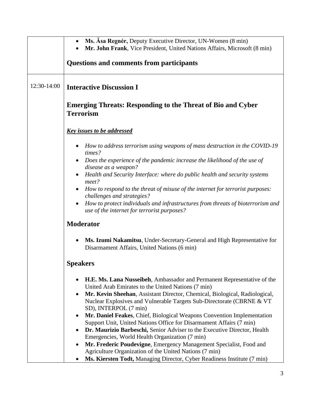|             | Ms. Asa Regnér, Deputy Executive Director, UN-Women (8 min)                                                                                                  |
|-------------|--------------------------------------------------------------------------------------------------------------------------------------------------------------|
|             | Mr. John Frank, Vice President, United Nations Affairs, Microsoft (8 min)                                                                                    |
|             | <b>Questions and comments from participants</b>                                                                                                              |
| 12:30-14:00 | <b>Interactive Discussion I</b>                                                                                                                              |
|             | <b>Emerging Threats: Responding to the Threat of Bio and Cyber</b><br><b>Terrorism</b>                                                                       |
|             | <b>Key issues to be addressed</b>                                                                                                                            |
|             | How to address terrorism using weapons of mass destruction in the COVID-19<br>$\bullet$<br>times?                                                            |
|             | Does the experience of the pandemic increase the likelihood of the use of<br>disease as a weapon?                                                            |
|             | Health and Security Interface: where do public health and security systems<br>meet?                                                                          |
|             | How to respond to the threat of misuse of the internet for terrorist purposes:<br>challenges and strategies?                                                 |
|             | How to protect individuals and infrastructures from threats of bioterrorism and<br>use of the internet for terrorist purposes?                               |
|             | <b>Moderator</b>                                                                                                                                             |
|             | Ms. Izumi Nakamitsu, Under-Secretary-General and High Representative for<br>$\bullet$<br>Disarmament Affairs, United Nations (6 min)                         |
|             | <b>Speakers</b>                                                                                                                                              |
|             | H.E. Ms. Lana Nusseibeh, Ambassador and Permanent Representative of the<br>٠<br>United Arab Emirates to the United Nations (7 min)                           |
|             | Mr. Kevin Sheehan, Assistant Director, Chemical, Biological, Radiological,<br>$\bullet$                                                                      |
|             | Nuclear Explosives and Vulnerable Targets Sub-Directorate (CBRNE & VT<br>SD), INTERPOL (7 min)                                                               |
|             | Mr. Daniel Feakes, Chief, Biological Weapons Convention Implementation<br>$\bullet$                                                                          |
|             | Support Unit, United Nations Office for Disarmament Affairs (7 min)<br>Dr. Maurizio Barbeschi, Senior Adviser to the Executive Director, Health<br>$\bullet$ |
|             | Emergencies, World Health Organization (7 min)                                                                                                               |
|             | Mr. Frederic Poudevigne, Emergency Management Specialist, Food and<br>$\bullet$                                                                              |
|             | Agriculture Organization of the United Nations (7 min)<br>Ms. Kiersten Todt, Managing Director, Cyber Readiness Institute (7 min)                            |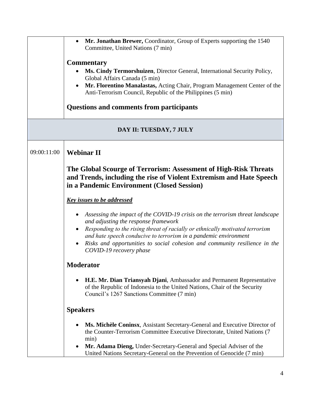|                         | Mr. Jonathan Brewer, Coordinator, Group of Experts supporting the 1540<br>Committee, United Nations (7 min)                                                                                                                                                                                                                                                                         |
|-------------------------|-------------------------------------------------------------------------------------------------------------------------------------------------------------------------------------------------------------------------------------------------------------------------------------------------------------------------------------------------------------------------------------|
|                         | <b>Commentary</b><br>Ms. Cindy Termorshuizen, Director General, International Security Policy,<br>Global Affairs Canada (5 min)<br>Mr. Florentino Manalastas, Acting Chair, Program Management Center of the<br>Anti-Terrorism Council, Republic of the Philippines (5 min)<br>Questions and comments from participants                                                             |
| DAY II: TUESDAY, 7 JULY |                                                                                                                                                                                                                                                                                                                                                                                     |
| 09:00:11:00             | <b>Webinar II</b>                                                                                                                                                                                                                                                                                                                                                                   |
|                         | The Global Scourge of Terrorism: Assessment of High-Risk Threats<br>and Trends, including the rise of Violent Extremism and Hate Speech<br>in a Pandemic Environment (Closed Session)                                                                                                                                                                                               |
|                         | <b>Key issues to be addressed</b>                                                                                                                                                                                                                                                                                                                                                   |
|                         | Assessing the impact of the COVID-19 crisis on the terrorism threat landscape<br>and adjusting the response framework<br>Responding to the rising threat of racially or ethnically motivated terrorism<br>and hate speech conducive to terrorism in a pandemic environment<br>Risks and opportunities to social cohesion and community resilience in the<br>COVID-19 recovery phase |
|                         | <b>Moderator</b>                                                                                                                                                                                                                                                                                                                                                                    |
|                         | H.E. Mr. Dian Triansyah Djani, Ambassador and Permanent Representative<br>of the Republic of Indonesia to the United Nations, Chair of the Security<br>Council's 1267 Sanctions Committee (7 min)                                                                                                                                                                                   |
|                         | <b>Speakers</b>                                                                                                                                                                                                                                                                                                                                                                     |
|                         | Ms. Michèle Coninsx, Assistant Secretary-General and Executive Director of<br>the Counter-Terrorism Committee Executive Directorate, United Nations (7<br>min)<br>Mr. Adama Dieng, Under-Secretary-General and Special Adviser of the<br>United Nations Secretary-General on the Prevention of Genocide (7 min)                                                                     |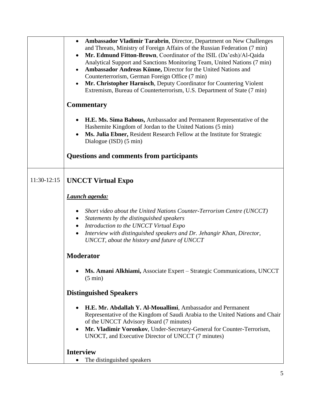|             | Ambassador Vladimir Tarabrin, Director, Department on New Challenges<br>$\bullet$<br>and Threats, Ministry of Foreign Affairs of the Russian Federation (7 min)<br>Mr. Edmund Fitton-Brown, Coordinator of the ISIL (Da'esh)/Al-Qaida<br>$\bullet$<br>Analytical Support and Sanctions Monitoring Team, United Nations (7 min)<br>Ambassador Andreas Künne, Director for the United Nations and<br>$\bullet$<br>Counterterrorism, German Foreign Office (7 min)<br>Mr. Christopher Harnisch, Deputy Coordinator for Countering Violent<br>$\bullet$<br>Extremism, Bureau of Counterterrorism, U.S. Department of State (7 min) |
|-------------|--------------------------------------------------------------------------------------------------------------------------------------------------------------------------------------------------------------------------------------------------------------------------------------------------------------------------------------------------------------------------------------------------------------------------------------------------------------------------------------------------------------------------------------------------------------------------------------------------------------------------------|
|             | <b>Commentary</b>                                                                                                                                                                                                                                                                                                                                                                                                                                                                                                                                                                                                              |
|             | H.E. Ms. Sima Bahous, Ambassador and Permanent Representative of the<br>$\bullet$<br>Hashemite Kingdom of Jordan to the United Nations (5 min)<br>Ms. Julia Ebner, Resident Research Fellow at the Institute for Strategic<br>$\bullet$<br>Dialogue (ISD) (5 min)                                                                                                                                                                                                                                                                                                                                                              |
|             | <b>Questions and comments from participants</b>                                                                                                                                                                                                                                                                                                                                                                                                                                                                                                                                                                                |
| 11:30-12:15 | <b>UNCCT Virtual Expo</b>                                                                                                                                                                                                                                                                                                                                                                                                                                                                                                                                                                                                      |
|             | <b>Launch agenda:</b>                                                                                                                                                                                                                                                                                                                                                                                                                                                                                                                                                                                                          |
|             | Short video about the United Nations Counter-Terrorism Centre (UNCCT)<br>Statements by the distinguished speakers<br>٠<br>Introduction to the UNCCT Virtual Expo<br>$\bullet$<br>Interview with distinguished speakers and Dr. Jehangir Khan, Director,<br>UNCCT, about the history and future of UNCCT                                                                                                                                                                                                                                                                                                                        |
|             | <b>Moderator</b>                                                                                                                                                                                                                                                                                                                                                                                                                                                                                                                                                                                                               |
|             | Ms. Amani Alkhiami, Associate Expert – Strategic Communications, UNCCT<br>٠<br>$(5 \text{ min})$                                                                                                                                                                                                                                                                                                                                                                                                                                                                                                                               |
|             | <b>Distinguished Speakers</b>                                                                                                                                                                                                                                                                                                                                                                                                                                                                                                                                                                                                  |
|             | H.E. Mr. Abdallah Y. Al-Mouallimi, Ambassador and Permanent<br>$\bullet$<br>Representative of the Kingdom of Saudi Arabia to the United Nations and Chair<br>of the UNCCT Advisory Board (7 minutes)<br>Mr. Vladimir Voronkov, Under-Secretary-General for Counter-Terrorism,<br>$\bullet$<br>UNOCT, and Executive Director of UNCCT (7 minutes)                                                                                                                                                                                                                                                                               |
|             | <b>Interview</b><br>The distinguished speakers<br>$\bullet$                                                                                                                                                                                                                                                                                                                                                                                                                                                                                                                                                                    |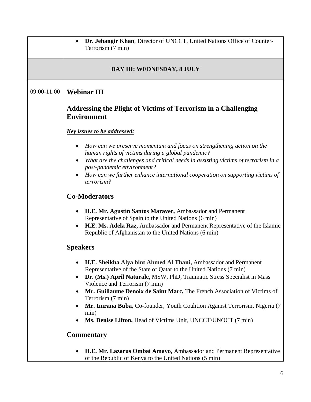|             | Dr. Jehangir Khan, Director of UNCCT, United Nations Office of Counter-<br>Terrorism (7 min)                                                 |
|-------------|----------------------------------------------------------------------------------------------------------------------------------------------|
|             | DAY III: WEDNESDAY, 8 JULY                                                                                                                   |
| 09:00-11:00 | <b>Webinar III</b>                                                                                                                           |
|             | <b>Addressing the Plight of Victims of Terrorism in a Challenging</b><br><b>Environment</b>                                                  |
|             | <u>Key issues to be addressed:</u>                                                                                                           |
|             | How can we preserve momentum and focus on strengthening action on the<br>human rights of victims during a global pandemic?                   |
|             | What are the challenges and critical needs in assisting victims of terrorism in a<br>post-pandemic environment?                              |
|             | How can we further enhance international cooperation on supporting victims of<br>terrorism?                                                  |
|             | <b>Co-Moderators</b>                                                                                                                         |
|             | H.E. Mr. Agustín Santos Maraver, Ambassador and Permanent<br>Representative of Spain to the United Nations (6 min)                           |
|             | H.E. Ms. Adela Raz, Ambassador and Permanent Representative of the Islamic<br>Republic of Afghanistan to the United Nations (6 min)          |
|             | <b>Speakers</b>                                                                                                                              |
|             | H.E. Sheikha Alya bint Ahmed Al Thani, Ambassador and Permanent<br>Representative of the State of Qatar to the United Nations (7 min)        |
|             | Dr. (Ms.) April Naturale, MSW, PhD, Traumatic Stress Specialist in Mass<br>٠<br>Violence and Terrorism (7 min)                               |
|             | Mr. Guillaume Denoix de Saint Marc, The French Association of Victims of<br>Terrorism (7 min)                                                |
|             | Mr. Imrana Buba, Co-founder, Youth Coalition Against Terrorism, Nigeria (7)<br>min)                                                          |
|             | Ms. Denise Lifton, Head of Victims Unit, UNCCT/UNOCT (7 min)<br><b>Commentary</b>                                                            |
|             |                                                                                                                                              |
|             | H.E. Mr. Lazarus Ombai Amayo, Ambassador and Permanent Representative<br>$\bullet$<br>of the Republic of Kenya to the United Nations (5 min) |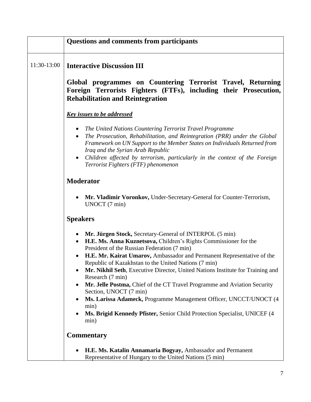|             | <b>Questions and comments from participants</b>                                                                                                                                                                                                                                                                                                                                                                                                                                                                                                                                                                                                                                                                                 |
|-------------|---------------------------------------------------------------------------------------------------------------------------------------------------------------------------------------------------------------------------------------------------------------------------------------------------------------------------------------------------------------------------------------------------------------------------------------------------------------------------------------------------------------------------------------------------------------------------------------------------------------------------------------------------------------------------------------------------------------------------------|
| 11:30-13:00 | <b>Interactive Discussion III</b>                                                                                                                                                                                                                                                                                                                                                                                                                                                                                                                                                                                                                                                                                               |
|             | Global programmes on Countering Terrorist Travel, Returning<br>Foreign Terrorists Fighters (FTFs), including their Prosecution,<br><b>Rehabilitation and Reintegration</b>                                                                                                                                                                                                                                                                                                                                                                                                                                                                                                                                                      |
|             | <b>Key issues to be addressed</b>                                                                                                                                                                                                                                                                                                                                                                                                                                                                                                                                                                                                                                                                                               |
|             | The United Nations Countering Terrorist Travel Programme<br>The Prosecution, Rehabilitation, and Reintegration (PRR) under the Global<br>$\bullet$<br>Framework on UN Support to the Member States on Individuals Returned from<br>Iraq and the Syrian Arab Republic<br>Children affected by terrorism, particularly in the context of the Foreign<br>$\bullet$<br>Terrorist Fighters (FTF) phenomenon                                                                                                                                                                                                                                                                                                                          |
|             | <b>Moderator</b>                                                                                                                                                                                                                                                                                                                                                                                                                                                                                                                                                                                                                                                                                                                |
|             | Mr. Vladimir Voronkov, Under-Secretary-General for Counter-Terrorism,<br>UNOCT (7 min)                                                                                                                                                                                                                                                                                                                                                                                                                                                                                                                                                                                                                                          |
|             | <b>Speakers</b>                                                                                                                                                                                                                                                                                                                                                                                                                                                                                                                                                                                                                                                                                                                 |
|             | Mr. Jürgen Stock, Secretary-General of INTERPOL (5 min)<br>٠<br>H.E. Ms. Anna Kuznetsova, Children's Rights Commissioner for the<br>$\bullet$<br>President of the Russian Federation (7 min)<br>H.E. Mr. Kairat Umarov, Ambassador and Permanent Representative of the<br>Republic of Kazakhstan to the United Nations (7 min)<br>Mr. Nikhil Seth, Executive Director, United Nations Institute for Training and<br>٠<br>Research (7 min)<br>Mr. Jelle Postma, Chief of the CT Travel Programme and Aviation Security<br>$\bullet$<br>Section, UNOCT (7 min)<br>Ms. Larissa Adameck, Programme Management Officer, UNCCT/UNOCT (4<br>min)<br>Ms. Brigid Kennedy Pfister, Senior Child Protection Specialist, UNICEF (4)<br>min) |
|             | <b>Commentary</b>                                                                                                                                                                                                                                                                                                                                                                                                                                                                                                                                                                                                                                                                                                               |
|             | H.E. Ms. Katalin Annamaria Bogyay, Ambassador and Permanent<br>Representative of Hungary to the United Nations (5 min)                                                                                                                                                                                                                                                                                                                                                                                                                                                                                                                                                                                                          |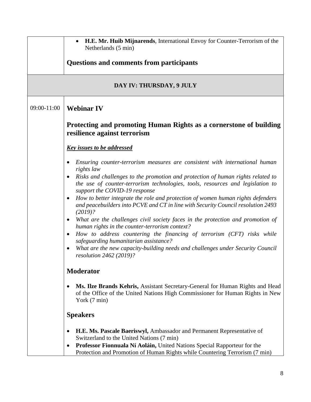|             | H.E. Mr. Huib Mijnarends, International Envoy for Counter-Terrorism of the<br>$\bullet$<br>Netherlands (5 min)                                                                                                    |
|-------------|-------------------------------------------------------------------------------------------------------------------------------------------------------------------------------------------------------------------|
|             | <b>Questions and comments from participants</b>                                                                                                                                                                   |
|             | DAY IV: THURSDAY, 9 JULY                                                                                                                                                                                          |
| 09:00-11:00 | <b>Webinar IV</b>                                                                                                                                                                                                 |
|             | Protecting and promoting Human Rights as a cornerstone of building<br>resilience against terrorism                                                                                                                |
|             | <b>Key issues to be addressed</b>                                                                                                                                                                                 |
|             | Ensuring counter-terrorism measures are consistent with international human<br>$\bullet$<br>rights law                                                                                                            |
|             | Risks and challenges to the promotion and protection of human rights related to<br>$\bullet$<br>the use of counter-terrorism technologies, tools, resources and legislation to<br>support the COVID-19 response   |
|             | How to better integrate the role and protection of women human rights defenders<br>and peacebuilders into PCVE and CT in line with Security Council resolution 2493<br>$(2019)$ ?                                 |
|             | What are the challenges civil society faces in the protection and promotion of<br>$\bullet$<br>human rights in the counter-terrorism context?                                                                     |
|             | How to address countering the financing of terrorism (CFT) risks while<br>$\bullet$<br>safeguarding humanitarian assistance?                                                                                      |
|             | What are the new capacity-building needs and challenges under Security Council<br>resolution 2462 (2019)?                                                                                                         |
|             | <b>Moderator</b>                                                                                                                                                                                                  |
|             | Ms. Ilze Brands Kehris, Assistant Secretary-General for Human Rights and Head<br>of the Office of the United Nations High Commissioner for Human Rights in New<br>York (7 min)                                    |
|             | <b>Speakers</b>                                                                                                                                                                                                   |
|             | H.E. Ms. Pascale Baeriswyl, Ambassador and Permanent Representative of<br>٠                                                                                                                                       |
|             | Switzerland to the United Nations (7 min)<br>Professor Fionnuala Ní Aoláin, United Nations Special Rapporteur for the<br>$\bullet$<br>Protection and Promotion of Human Rights while Countering Terrorism (7 min) |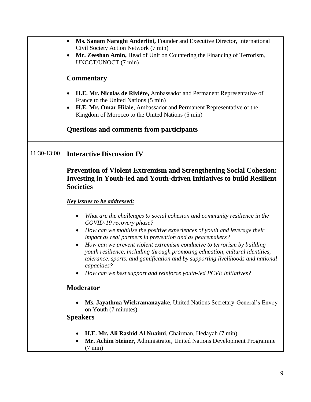|             | Ms. Sanam Naraghi Anderlini, Founder and Executive Director, International<br>$\bullet$<br>Civil Society Action Network (7 min)                                                                                                                                        |
|-------------|------------------------------------------------------------------------------------------------------------------------------------------------------------------------------------------------------------------------------------------------------------------------|
|             | Mr. Zeeshan Amin, Head of Unit on Countering the Financing of Terrorism,<br>$\bullet$<br>UNCCT/UNOCT (7 min)                                                                                                                                                           |
|             | <b>Commentary</b>                                                                                                                                                                                                                                                      |
|             | H.E. Mr. Nicolas de Rivière, Ambassador and Permanent Representative of<br>٠<br>France to the United Nations (5 min)                                                                                                                                                   |
|             | H.E. Mr. Omar Hilale, Ambassador and Permanent Representative of the<br>٠<br>Kingdom of Morocco to the United Nations (5 min)                                                                                                                                          |
|             | <b>Questions and comments from participants</b>                                                                                                                                                                                                                        |
| 11:30-13:00 | <b>Interactive Discussion IV</b>                                                                                                                                                                                                                                       |
|             | Prevention of Violent Extremism and Strengthening Social Cohesion:<br><b>Investing in Youth-led and Youth-driven Initiatives to build Resilient</b><br><b>Societies</b>                                                                                                |
|             | <b>Key issues to be addressed:</b>                                                                                                                                                                                                                                     |
|             | What are the challenges to social cohesion and community resilience in the<br>$\bullet$<br>COVID-19 recovery phase?                                                                                                                                                    |
|             | How can we mobilise the positive experiences of youth and leverage their<br>$\bullet$<br>impact as real partners in prevention and as peacemakers?                                                                                                                     |
|             | How can we prevent violent extremism conducive to terrorism by building<br>$\bullet$<br>youth resilience, including through promoting education, cultural identities,<br>tolerance, sports, and gamification and by supporting livelihoods and national<br>capacities? |
|             | How can we best support and reinforce youth-led PCVE initiatives?                                                                                                                                                                                                      |
|             | <b>Moderator</b>                                                                                                                                                                                                                                                       |
|             | Ms. Jayathma Wickramanayake, United Nations Secretary-General's Envoy<br>on Youth (7 minutes)                                                                                                                                                                          |
|             | <b>Speakers</b>                                                                                                                                                                                                                                                        |
|             | H.E. Mr. Ali Rashid Al Nuaimi, Chairman, Hedayah (7 min)<br>Mr. Achim Steiner, Administrator, United Nations Development Programme<br>٠<br>$(7 \text{ min})$                                                                                                           |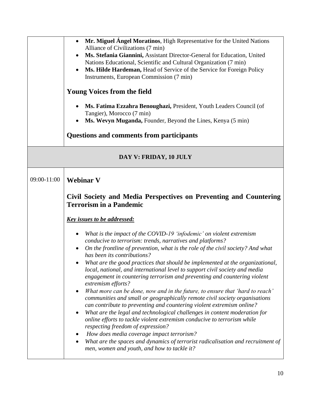|                        | Mr. Miguel Ángel Moratinos, High Representative for the United Nations<br>$\bullet$<br>Alliance of Civilizations (7 min)<br>Ms. Stefania Giannini, Assistant Director-General for Education, United<br>Nations Educational, Scientific and Cultural Organization (7 min)<br>Ms. Hilde Hardeman, Head of Service of the Service for Foreign Policy<br>$\bullet$<br>Instruments, European Commission (7 min)<br><b>Young Voices from the field</b><br>Ms. Fatima Ezzahra Benoughazi, President, Youth Leaders Council (of<br>Tangier), Morocco (7 min)<br>Ms. Wevyn Muganda, Founder, Beyond the Lines, Kenya (5 min)<br><b>Questions and comments from participants</b>                                                                                                                                                                                                                                                                                                                                                                                                                                                                                              |
|------------------------|---------------------------------------------------------------------------------------------------------------------------------------------------------------------------------------------------------------------------------------------------------------------------------------------------------------------------------------------------------------------------------------------------------------------------------------------------------------------------------------------------------------------------------------------------------------------------------------------------------------------------------------------------------------------------------------------------------------------------------------------------------------------------------------------------------------------------------------------------------------------------------------------------------------------------------------------------------------------------------------------------------------------------------------------------------------------------------------------------------------------------------------------------------------------|
| DAY V: FRIDAY, 10 JULY |                                                                                                                                                                                                                                                                                                                                                                                                                                                                                                                                                                                                                                                                                                                                                                                                                                                                                                                                                                                                                                                                                                                                                                     |
| 09:00-11:00            | <b>Webinar V</b><br>Civil Society and Media Perspectives on Preventing and Countering<br><b>Terrorism in a Pandemic</b>                                                                                                                                                                                                                                                                                                                                                                                                                                                                                                                                                                                                                                                                                                                                                                                                                                                                                                                                                                                                                                             |
|                        | <u>Key issues to be addressed:</u>                                                                                                                                                                                                                                                                                                                                                                                                                                                                                                                                                                                                                                                                                                                                                                                                                                                                                                                                                                                                                                                                                                                                  |
|                        | What is the impact of the COVID-19 'infodemic' on violent extremism<br>٠<br>conducive to terrorism: trends, narratives and platforms?<br>On the frontline of prevention, what is the role of the civil society? And what<br>٠<br>has been its contributions?<br>What are the good practices that should be implemented at the organizational,<br>local, national, and international level to support civil society and media<br>engagement in countering terrorism and preventing and countering violent<br>extremism efforts?<br>What more can be done, now and in the future, to ensure that 'hard to reach'<br>$\bullet$<br>communities and small or geographically remote civil society organisations<br>can contribute to preventing and countering violent extremism online?<br>What are the legal and technological challenges in content moderation for<br>٠<br>online efforts to tackle violent extremism conducive to terrorism while<br>respecting freedom of expression?<br>How does media coverage impact terrorism?<br>What are the spaces and dynamics of terrorist radicalisation and recruitment of<br>men, women and youth, and how to tackle it? |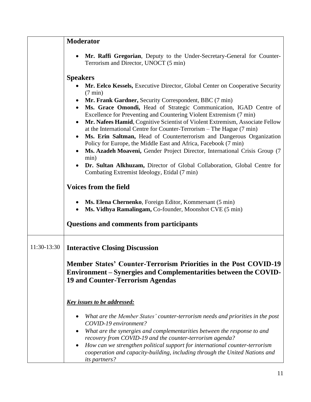|             | <b>Moderator</b>                                                                                                                                                                                                                                                                                                                                                                                                                                                                                                                                                                                                                                                                                                                                                                                                                                              |
|-------------|---------------------------------------------------------------------------------------------------------------------------------------------------------------------------------------------------------------------------------------------------------------------------------------------------------------------------------------------------------------------------------------------------------------------------------------------------------------------------------------------------------------------------------------------------------------------------------------------------------------------------------------------------------------------------------------------------------------------------------------------------------------------------------------------------------------------------------------------------------------|
|             | Mr. Raffi Gregorian, Deputy to the Under-Secretary-General for Counter-<br>Terrorism and Director, UNOCT (5 min)                                                                                                                                                                                                                                                                                                                                                                                                                                                                                                                                                                                                                                                                                                                                              |
|             | <b>Speakers</b><br>Mr. Eelco Kessels, Executive Director, Global Center on Cooperative Security<br>$(7 \text{ min})$<br>Mr. Frank Gardner, Security Correspondent, BBC (7 min)<br>Ms. Grace Omondi, Head of Strategic Communication, IGAD Centre of<br>Excellence for Preventing and Countering Violent Extremism (7 min)<br>Mr. Nafees Hamid, Cognitive Scientist of Violent Extremism, Associate Fellow<br>at the International Centre for Counter-Terrorism – The Hague (7 min)<br>Ms. Erin Saltman, Head of Counterterrorism and Dangerous Organization<br>$\bullet$<br>Policy for Europe, the Middle East and Africa, Facebook (7 min)<br>Ms. Azadeh Moaveni, Gender Project Director, International Crisis Group (7<br>min)<br>Dr. Sultan Alkhuzam, Director of Global Collaboration, Global Centre for<br>Combating Extremist Ideology, Etidal (7 min) |
|             | <b>Voices from the field</b><br>Ms. Elena Chernenko, Foreign Editor, Kommersant (5 min)<br>Ms. Vidhya Ramalingam, Co-founder, Moonshot CVE (5 min)                                                                                                                                                                                                                                                                                                                                                                                                                                                                                                                                                                                                                                                                                                            |
|             | <b>Questions and comments from participants</b>                                                                                                                                                                                                                                                                                                                                                                                                                                                                                                                                                                                                                                                                                                                                                                                                               |
| 11:30-13:30 | <b>Interactive Closing Discussion</b><br>Member States' Counter-Terrorism Priorities in the Post COVID-19<br>Environment – Synergies and Complementarities between the COVID-<br><b>19 and Counter-Terrorism Agendas</b>                                                                                                                                                                                                                                                                                                                                                                                                                                                                                                                                                                                                                                      |
|             | <u>Key issues to be addressed:</u><br>What are the Member States' counter-terrorism needs and priorities in the post<br>COVID-19 environment?<br>What are the synergies and complementarities between the response to and<br>٠<br>recovery from COVID-19 and the counter-terrorism agenda?<br>How can we strengthen political support for international counter-terrorism<br>cooperation and capacity-building, including through the United Nations and<br>its partners?                                                                                                                                                                                                                                                                                                                                                                                     |